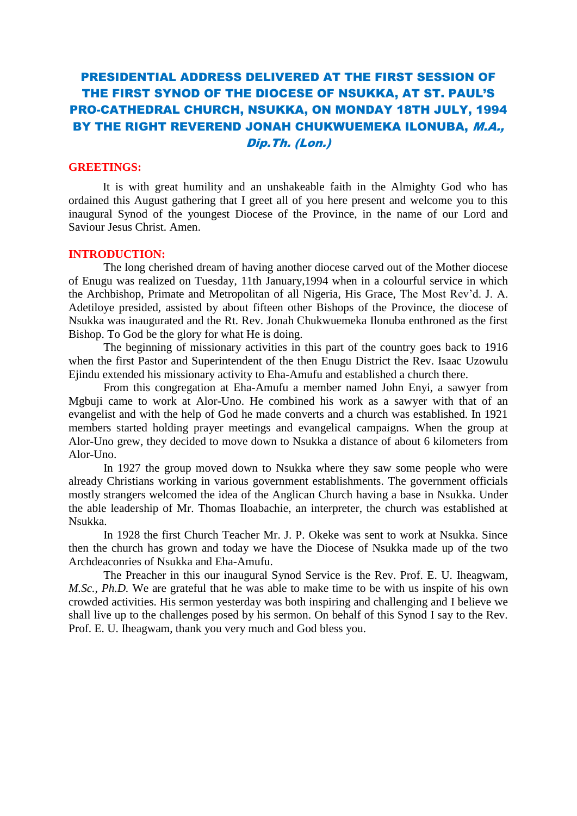# PRESIDENTIAL ADDRESS DELIVERED AT THE FIRST SESSION OF THE FIRST SYNOD OF THE DIOCESE OF NSUKKA, AT ST. PAUL'S PRO-CATHEDRAL CHURCH, NSUKKA, ON MONDAY 18TH JULY, 1994 BY THE RIGHT REVEREND JONAH CHUKWUEMEKA ILONUBA, M.A., Dip.Th. (Lon.)

## **GREETINGS:**

It is with great humility and an unshakeable faith in the Almighty God who has ordained this August gathering that I greet all of you here present and welcome you to this inaugural Synod of the youngest Diocese of the Province, in the name of our Lord and Saviour Jesus Christ. Amen.

#### **INTRODUCTION:**

The long cherished dream of having another diocese carved out of the Mother diocese of Enugu was realized on Tuesday, 11th January,1994 when in a colourful service in which the Archbishop, Primate and Metropolitan of all Nigeria, His Grace, The Most Rev'd. J. A. Adetiloye presided, assisted by about fifteen other Bishops of the Province, the diocese of Nsukka was inaugurated and the Rt. Rev. Jonah Chukwuemeka Ilonuba enthroned as the first Bishop. To God be the glory for what He is doing.

The beginning of missionary activities in this part of the country goes back to 1916 when the first Pastor and Superintendent of the then Enugu District the Rev. Isaac Uzowulu Ejindu extended his missionary activity to Eha-Amufu and established a church there.

From this congregation at Eha-Amufu a member named John Enyi, a sawyer from Mgbuji came to work at Alor-Uno. He combined his work as a sawyer with that of an evangelist and with the help of God he made converts and a church was established. In 1921 members started holding prayer meetings and evangelical campaigns. When the group at Alor-Uno grew, they decided to move down to Nsukka a distance of about 6 kilometers from Alor-Uno.

In 1927 the group moved down to Nsukka where they saw some people who were already Christians working in various government establishments. The government officials mostly strangers welcomed the idea of the Anglican Church having a base in Nsukka. Under the able leadership of Mr. Thomas Iloabachie, an interpreter, the church was established at Nsukka.

In 1928 the first Church Teacher Mr. J. P. Okeke was sent to work at Nsukka. Since then the church has grown and today we have the Diocese of Nsukka made up of the two Archdeaconries of Nsukka and Eha-Amufu.

The Preacher in this our inaugural Synod Service is the Rev. Prof. E. U. Iheagwam, *M.Sc., Ph.D.* We are grateful that he was able to make time to be with us inspite of his own crowded activities. His sermon yesterday was both inspiring and challenging and I believe we shall live up to the challenges posed by his sermon. On behalf of this Synod I say to the Rev. Prof. E. U. Iheagwam, thank you very much and God bless you.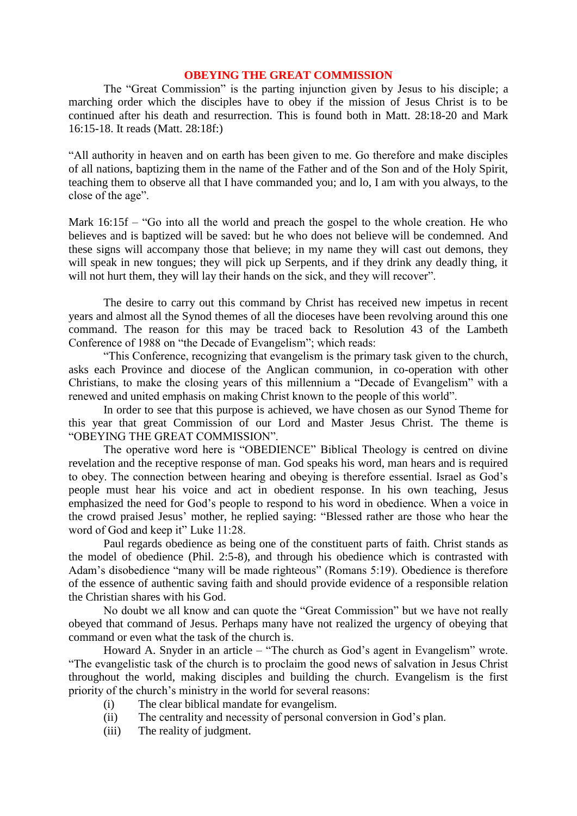## **OBEYING THE GREAT COMMISSION**

The "Great Commission" is the parting injunction given by Jesus to his disciple; a marching order which the disciples have to obey if the mission of Jesus Christ is to be continued after his death and resurrection. This is found both in Matt. 28:18-20 and Mark 16:15-18. It reads (Matt. 28:18f:)

"All authority in heaven and on earth has been given to me. Go therefore and make disciples of all nations, baptizing them in the name of the Father and of the Son and of the Holy Spirit, teaching them to observe all that I have commanded you; and lo, I am with you always, to the close of the age".

Mark  $16:15f - "Go into all the world and present the gospel to the whole creation. He who$ believes and is baptized will be saved: but he who does not believe will be condemned. And these signs will accompany those that believe; in my name they will cast out demons, they will speak in new tongues; they will pick up Serpents, and if they drink any deadly thing, it will not hurt them, they will lay their hands on the sick, and they will recover".

The desire to carry out this command by Christ has received new impetus in recent years and almost all the Synod themes of all the dioceses have been revolving around this one command. The reason for this may be traced back to Resolution 43 of the Lambeth Conference of 1988 on "the Decade of Evangelism"; which reads:

"This Conference, recognizing that evangelism is the primary task given to the church, asks each Province and diocese of the Anglican communion, in co-operation with other Christians, to make the closing years of this millennium a "Decade of Evangelism" with a renewed and united emphasis on making Christ known to the people of this world".

In order to see that this purpose is achieved, we have chosen as our Synod Theme for this year that great Commission of our Lord and Master Jesus Christ. The theme is "OBEYING THE GREAT COMMISSION".

The operative word here is "OBEDIENCE" Biblical Theology is centred on divine revelation and the receptive response of man. God speaks his word, man hears and is required to obey. The connection between hearing and obeying is therefore essential. Israel as God's people must hear his voice and act in obedient response. In his own teaching, Jesus emphasized the need for God's people to respond to his word in obedience. When a voice in the crowd praised Jesus' mother, he replied saying: "Blessed rather are those who hear the word of God and keep it" Luke 11:28.

Paul regards obedience as being one of the constituent parts of faith. Christ stands as the model of obedience (Phil. 2:5-8), and through his obedience which is contrasted with Adam's disobedience "many will be made righteous" (Romans 5:19). Obedience is therefore of the essence of authentic saving faith and should provide evidence of a responsible relation the Christian shares with his God.

No doubt we all know and can quote the "Great Commission" but we have not really obeyed that command of Jesus. Perhaps many have not realized the urgency of obeying that command or even what the task of the church is.

Howard A. Snyder in an article – "The church as God's agent in Evangelism" wrote. "The evangelistic task of the church is to proclaim the good news of salvation in Jesus Christ throughout the world, making disciples and building the church. Evangelism is the first priority of the church's ministry in the world for several reasons:

- (i) The clear biblical mandate for evangelism.
- (ii) The centrality and necessity of personal conversion in God's plan.
- (iii) The reality of judgment.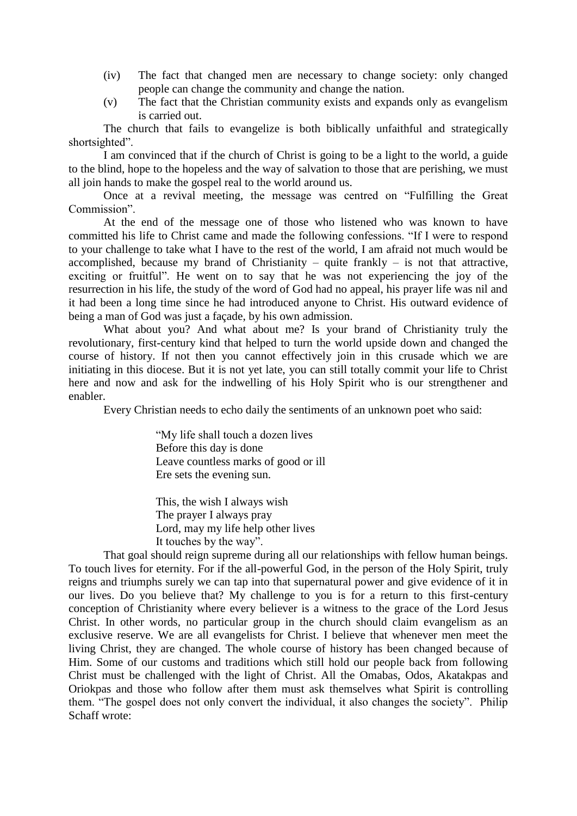- (iv) The fact that changed men are necessary to change society: only changed people can change the community and change the nation.
- (v) The fact that the Christian community exists and expands only as evangelism is carried out.

The church that fails to evangelize is both biblically unfaithful and strategically shortsighted".

I am convinced that if the church of Christ is going to be a light to the world, a guide to the blind, hope to the hopeless and the way of salvation to those that are perishing, we must all join hands to make the gospel real to the world around us.

Once at a revival meeting, the message was centred on "Fulfilling the Great Commission".

At the end of the message one of those who listened who was known to have committed his life to Christ came and made the following confessions. "If I were to respond to your challenge to take what I have to the rest of the world, I am afraid not much would be accomplished, because my brand of Christianity – quite frankly – is not that attractive, exciting or fruitful". He went on to say that he was not experiencing the joy of the resurrection in his life, the study of the word of God had no appeal, his prayer life was nil and it had been a long time since he had introduced anyone to Christ. His outward evidence of being a man of God was just a façade, by his own admission.

What about you? And what about me? Is your brand of Christianity truly the revolutionary, first-century kind that helped to turn the world upside down and changed the course of history. If not then you cannot effectively join in this crusade which we are initiating in this diocese. But it is not yet late, you can still totally commit your life to Christ here and now and ask for the indwelling of his Holy Spirit who is our strengthener and enabler.

Every Christian needs to echo daily the sentiments of an unknown poet who said:

"My life shall touch a dozen lives Before this day is done Leave countless marks of good or ill Ere sets the evening sun.

This, the wish I always wish The prayer I always pray Lord, may my life help other lives It touches by the way".

That goal should reign supreme during all our relationships with fellow human beings. To touch lives for eternity. For if the all-powerful God, in the person of the Holy Spirit, truly reigns and triumphs surely we can tap into that supernatural power and give evidence of it in our lives. Do you believe that? My challenge to you is for a return to this first-century conception of Christianity where every believer is a witness to the grace of the Lord Jesus Christ. In other words, no particular group in the church should claim evangelism as an exclusive reserve. We are all evangelists for Christ. I believe that whenever men meet the living Christ, they are changed. The whole course of history has been changed because of Him. Some of our customs and traditions which still hold our people back from following Christ must be challenged with the light of Christ. All the Omabas, Odos, Akatakpas and Oriokpas and those who follow after them must ask themselves what Spirit is controlling them. "The gospel does not only convert the individual, it also changes the society". Philip Schaff wrote: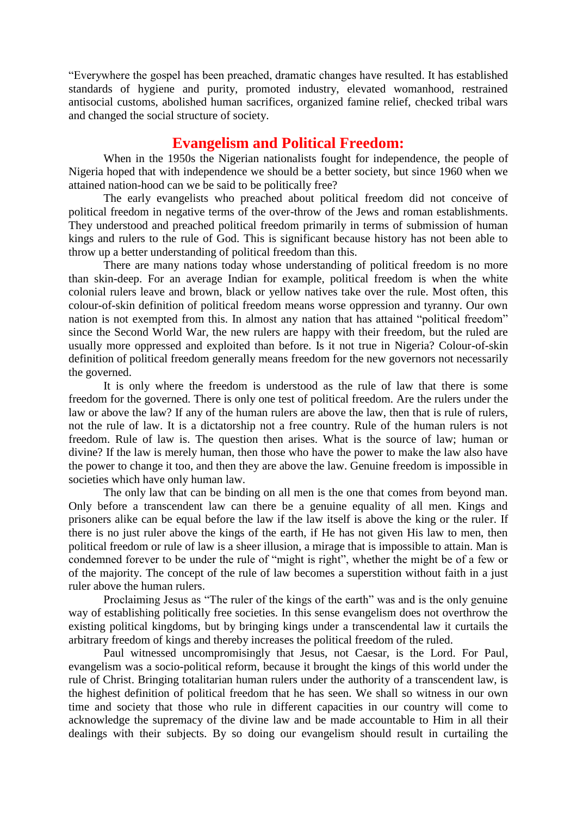"Everywhere the gospel has been preached, dramatic changes have resulted. It has established standards of hygiene and purity, promoted industry, elevated womanhood, restrained antisocial customs, abolished human sacrifices, organized famine relief, checked tribal wars and changed the social structure of society.

## **Evangelism and Political Freedom:**

When in the 1950s the Nigerian nationalists fought for independence, the people of Nigeria hoped that with independence we should be a better society, but since 1960 when we attained nation-hood can we be said to be politically free?

The early evangelists who preached about political freedom did not conceive of political freedom in negative terms of the over-throw of the Jews and roman establishments. They understood and preached political freedom primarily in terms of submission of human kings and rulers to the rule of God. This is significant because history has not been able to throw up a better understanding of political freedom than this.

There are many nations today whose understanding of political freedom is no more than skin-deep. For an average Indian for example, political freedom is when the white colonial rulers leave and brown, black or yellow natives take over the rule. Most often, this colour-of-skin definition of political freedom means worse oppression and tyranny. Our own nation is not exempted from this. In almost any nation that has attained "political freedom" since the Second World War, the new rulers are happy with their freedom, but the ruled are usually more oppressed and exploited than before. Is it not true in Nigeria? Colour-of-skin definition of political freedom generally means freedom for the new governors not necessarily the governed.

It is only where the freedom is understood as the rule of law that there is some freedom for the governed. There is only one test of political freedom. Are the rulers under the law or above the law? If any of the human rulers are above the law, then that is rule of rulers, not the rule of law. It is a dictatorship not a free country. Rule of the human rulers is not freedom. Rule of law is. The question then arises. What is the source of law; human or divine? If the law is merely human, then those who have the power to make the law also have the power to change it too, and then they are above the law. Genuine freedom is impossible in societies which have only human law.

The only law that can be binding on all men is the one that comes from beyond man. Only before a transcendent law can there be a genuine equality of all men. Kings and prisoners alike can be equal before the law if the law itself is above the king or the ruler. If there is no just ruler above the kings of the earth, if He has not given His law to men, then political freedom or rule of law is a sheer illusion, a mirage that is impossible to attain. Man is condemned forever to be under the rule of "might is right", whether the might be of a few or of the majority. The concept of the rule of law becomes a superstition without faith in a just ruler above the human rulers.

Proclaiming Jesus as "The ruler of the kings of the earth" was and is the only genuine way of establishing politically free societies. In this sense evangelism does not overthrow the existing political kingdoms, but by bringing kings under a transcendental law it curtails the arbitrary freedom of kings and thereby increases the political freedom of the ruled.

Paul witnessed uncompromisingly that Jesus, not Caesar, is the Lord. For Paul, evangelism was a socio-political reform, because it brought the kings of this world under the rule of Christ. Bringing totalitarian human rulers under the authority of a transcendent law, is the highest definition of political freedom that he has seen. We shall so witness in our own time and society that those who rule in different capacities in our country will come to acknowledge the supremacy of the divine law and be made accountable to Him in all their dealings with their subjects. By so doing our evangelism should result in curtailing the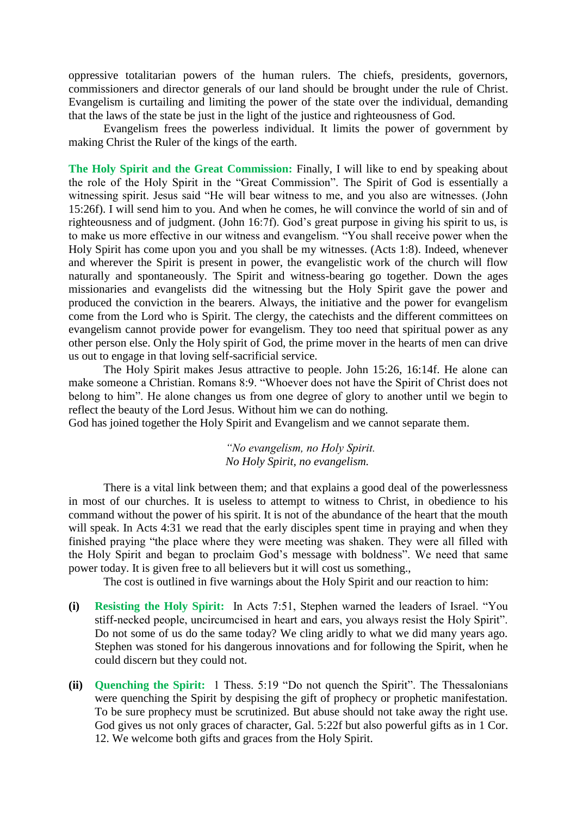oppressive totalitarian powers of the human rulers. The chiefs, presidents, governors, commissioners and director generals of our land should be brought under the rule of Christ. Evangelism is curtailing and limiting the power of the state over the individual, demanding that the laws of the state be just in the light of the justice and righteousness of God.

Evangelism frees the powerless individual. It limits the power of government by making Christ the Ruler of the kings of the earth.

**The Holy Spirit and the Great Commission:** Finally, I will like to end by speaking about the role of the Holy Spirit in the "Great Commission". The Spirit of God is essentially a witnessing spirit. Jesus said "He will bear witness to me, and you also are witnesses. (John 15:26f). I will send him to you. And when he comes, he will convince the world of sin and of righteousness and of judgment. (John 16:7f). God's great purpose in giving his spirit to us, is to make us more effective in our witness and evangelism. "You shall receive power when the Holy Spirit has come upon you and you shall be my witnesses. (Acts 1:8). Indeed, whenever and wherever the Spirit is present in power, the evangelistic work of the church will flow naturally and spontaneously. The Spirit and witness-bearing go together. Down the ages missionaries and evangelists did the witnessing but the Holy Spirit gave the power and produced the conviction in the bearers. Always, the initiative and the power for evangelism come from the Lord who is Spirit. The clergy, the catechists and the different committees on evangelism cannot provide power for evangelism. They too need that spiritual power as any other person else. Only the Holy spirit of God, the prime mover in the hearts of men can drive us out to engage in that loving self-sacrificial service.

The Holy Spirit makes Jesus attractive to people. John 15:26, 16:14f. He alone can make someone a Christian. Romans 8:9. "Whoever does not have the Spirit of Christ does not belong to him". He alone changes us from one degree of glory to another until we begin to reflect the beauty of the Lord Jesus. Without him we can do nothing.

God has joined together the Holy Spirit and Evangelism and we cannot separate them.

*"No evangelism, no Holy Spirit. No Holy Spirit, no evangelism.*

There is a vital link between them; and that explains a good deal of the powerlessness in most of our churches. It is useless to attempt to witness to Christ, in obedience to his command without the power of his spirit. It is not of the abundance of the heart that the mouth will speak. In Acts 4:31 we read that the early disciples spent time in praying and when they finished praying "the place where they were meeting was shaken. They were all filled with the Holy Spirit and began to proclaim God's message with boldness". We need that same power today. It is given free to all believers but it will cost us something.,

The cost is outlined in five warnings about the Holy Spirit and our reaction to him:

- **(i) Resisting the Holy Spirit:** In Acts 7:51, Stephen warned the leaders of Israel. "You stiff-necked people, uncircumcised in heart and ears, you always resist the Holy Spirit". Do not some of us do the same today? We cling aridly to what we did many years ago. Stephen was stoned for his dangerous innovations and for following the Spirit, when he could discern but they could not.
- **(ii) Quenching the Spirit:** 1 Thess. 5:19 "Do not quench the Spirit". The Thessalonians were quenching the Spirit by despising the gift of prophecy or prophetic manifestation. To be sure prophecy must be scrutinized. But abuse should not take away the right use. God gives us not only graces of character, Gal. 5:22f but also powerful gifts as in 1 Cor. 12. We welcome both gifts and graces from the Holy Spirit.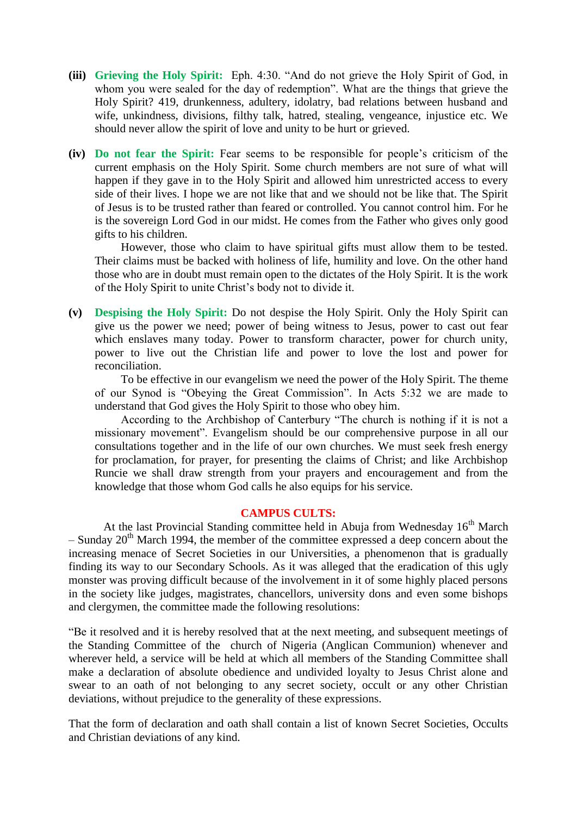- **(iii) Grieving the Holy Spirit:** Eph. 4:30. "And do not grieve the Holy Spirit of God, in whom you were sealed for the day of redemption". What are the things that grieve the Holy Spirit? 419, drunkenness, adultery, idolatry, bad relations between husband and wife, unkindness, divisions, filthy talk, hatred, stealing, vengeance, injustice etc. We should never allow the spirit of love and unity to be hurt or grieved.
- **(iv) Do not fear the Spirit:** Fear seems to be responsible for people's criticism of the current emphasis on the Holy Spirit. Some church members are not sure of what will happen if they gave in to the Holy Spirit and allowed him unrestricted access to every side of their lives. I hope we are not like that and we should not be like that. The Spirit of Jesus is to be trusted rather than feared or controlled. You cannot control him. For he is the sovereign Lord God in our midst. He comes from the Father who gives only good gifts to his children.

However, those who claim to have spiritual gifts must allow them to be tested. Their claims must be backed with holiness of life, humility and love. On the other hand those who are in doubt must remain open to the dictates of the Holy Spirit. It is the work of the Holy Spirit to unite Christ's body not to divide it.

**(v) Despising the Holy Spirit:** Do not despise the Holy Spirit. Only the Holy Spirit can give us the power we need; power of being witness to Jesus, power to cast out fear which enslaves many today. Power to transform character, power for church unity, power to live out the Christian life and power to love the lost and power for reconciliation.

To be effective in our evangelism we need the power of the Holy Spirit. The theme of our Synod is "Obeying the Great Commission". In Acts 5:32 we are made to understand that God gives the Holy Spirit to those who obey him.

According to the Archbishop of Canterbury "The church is nothing if it is not a missionary movement". Evangelism should be our comprehensive purpose in all our consultations together and in the life of our own churches. We must seek fresh energy for proclamation, for prayer, for presenting the claims of Christ; and like Archbishop Runcie we shall draw strength from your prayers and encouragement and from the knowledge that those whom God calls he also equips for his service.

#### **CAMPUS CULTS:**

At the last Provincial Standing committee held in Abuja from Wednesday  $16<sup>th</sup>$  March  $-$  Sunday 20<sup>th</sup> March 1994, the member of the committee expressed a deep concern about the increasing menace of Secret Societies in our Universities, a phenomenon that is gradually finding its way to our Secondary Schools. As it was alleged that the eradication of this ugly monster was proving difficult because of the involvement in it of some highly placed persons in the society like judges, magistrates, chancellors, university dons and even some bishops and clergymen, the committee made the following resolutions:

"Be it resolved and it is hereby resolved that at the next meeting, and subsequent meetings of the Standing Committee of the church of Nigeria (Anglican Communion) whenever and wherever held, a service will be held at which all members of the Standing Committee shall make a declaration of absolute obedience and undivided loyalty to Jesus Christ alone and swear to an oath of not belonging to any secret society, occult or any other Christian deviations, without prejudice to the generality of these expressions.

That the form of declaration and oath shall contain a list of known Secret Societies, Occults and Christian deviations of any kind.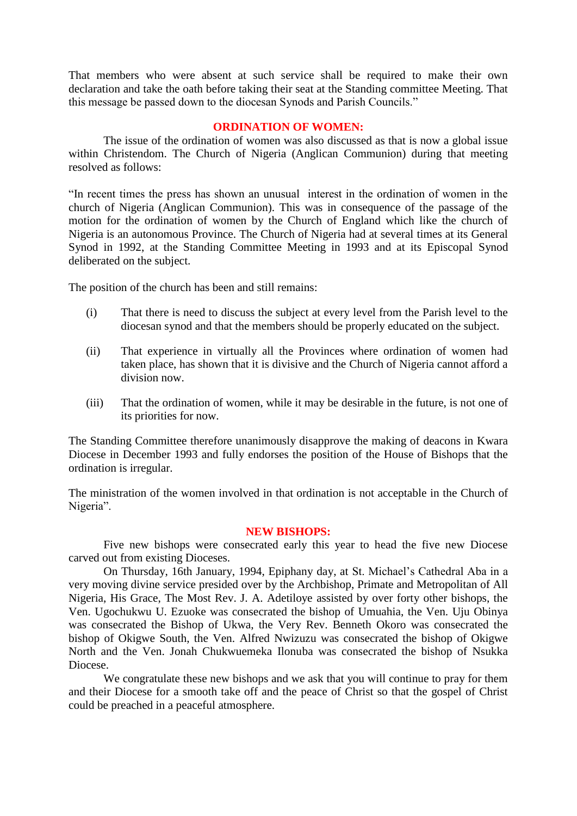That members who were absent at such service shall be required to make their own declaration and take the oath before taking their seat at the Standing committee Meeting. That this message be passed down to the diocesan Synods and Parish Councils."

### **ORDINATION OF WOMEN:**

The issue of the ordination of women was also discussed as that is now a global issue within Christendom. The Church of Nigeria (Anglican Communion) during that meeting resolved as follows:

"In recent times the press has shown an unusual interest in the ordination of women in the church of Nigeria (Anglican Communion). This was in consequence of the passage of the motion for the ordination of women by the Church of England which like the church of Nigeria is an autonomous Province. The Church of Nigeria had at several times at its General Synod in 1992, at the Standing Committee Meeting in 1993 and at its Episcopal Synod deliberated on the subject.

The position of the church has been and still remains:

- (i) That there is need to discuss the subject at every level from the Parish level to the diocesan synod and that the members should be properly educated on the subject.
- (ii) That experience in virtually all the Provinces where ordination of women had taken place, has shown that it is divisive and the Church of Nigeria cannot afford a division now.
- (iii) That the ordination of women, while it may be desirable in the future, is not one of its priorities for now.

The Standing Committee therefore unanimously disapprove the making of deacons in Kwara Diocese in December 1993 and fully endorses the position of the House of Bishops that the ordination is irregular.

The ministration of the women involved in that ordination is not acceptable in the Church of Nigeria".

#### **NEW BISHOPS:**

Five new bishops were consecrated early this year to head the five new Diocese carved out from existing Dioceses.

On Thursday, 16th January, 1994, Epiphany day, at St. Michael's Cathedral Aba in a very moving divine service presided over by the Archbishop, Primate and Metropolitan of All Nigeria, His Grace, The Most Rev. J. A. Adetiloye assisted by over forty other bishops, the Ven. Ugochukwu U. Ezuoke was consecrated the bishop of Umuahia, the Ven. Uju Obinya was consecrated the Bishop of Ukwa, the Very Rev. Benneth Okoro was consecrated the bishop of Okigwe South, the Ven. Alfred Nwizuzu was consecrated the bishop of Okigwe North and the Ven. Jonah Chukwuemeka Ilonuba was consecrated the bishop of Nsukka Diocese.

We congratulate these new bishops and we ask that you will continue to pray for them and their Diocese for a smooth take off and the peace of Christ so that the gospel of Christ could be preached in a peaceful atmosphere.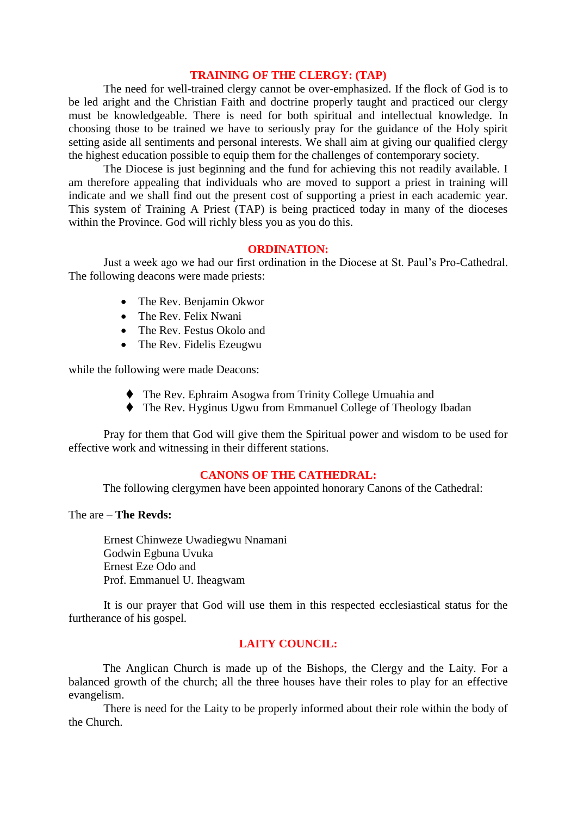#### **TRAINING OF THE CLERGY: (TAP)**

The need for well-trained clergy cannot be over-emphasized. If the flock of God is to be led aright and the Christian Faith and doctrine properly taught and practiced our clergy must be knowledgeable. There is need for both spiritual and intellectual knowledge. In choosing those to be trained we have to seriously pray for the guidance of the Holy spirit setting aside all sentiments and personal interests. We shall aim at giving our qualified clergy the highest education possible to equip them for the challenges of contemporary society.

The Diocese is just beginning and the fund for achieving this not readily available. I am therefore appealing that individuals who are moved to support a priest in training will indicate and we shall find out the present cost of supporting a priest in each academic year. This system of Training A Priest (TAP) is being practiced today in many of the dioceses within the Province. God will richly bless you as you do this.

## **ORDINATION:**

Just a week ago we had our first ordination in the Diocese at St. Paul's Pro-Cathedral. The following deacons were made priests:

- The Rev. Benjamin Okwor
- The Rev. Felix Nwani
- The Rev. Festus Okolo and
- The Rev. Fidelis Ezeugwu

while the following were made Deacons:

- The Rev. Ephraim Asogwa from Trinity College Umuahia and
- The Rev. Hyginus Ugwu from Emmanuel College of Theology Ibadan

Pray for them that God will give them the Spiritual power and wisdom to be used for effective work and witnessing in their different stations.

#### **CANONS OF THE CATHEDRAL:**

The following clergymen have been appointed honorary Canons of the Cathedral:

## The are – **The Revds:**

Ernest Chinweze Uwadiegwu Nnamani Godwin Egbuna Uvuka Ernest Eze Odo and Prof. Emmanuel U. Iheagwam

It is our prayer that God will use them in this respected ecclesiastical status for the furtherance of his gospel.

## **LAITY COUNCIL:**

The Anglican Church is made up of the Bishops, the Clergy and the Laity. For a balanced growth of the church; all the three houses have their roles to play for an effective evangelism.

There is need for the Laity to be properly informed about their role within the body of the Church.